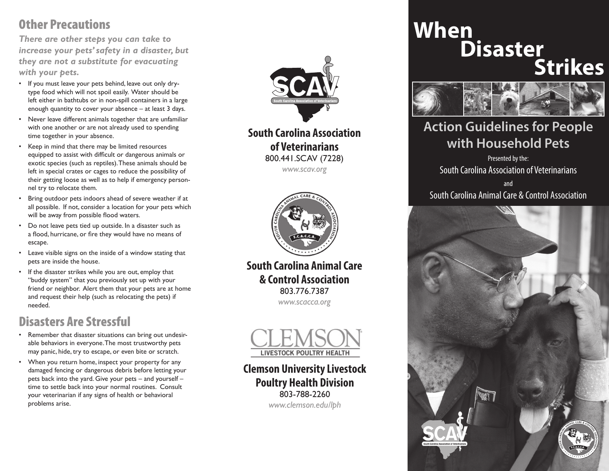# Other Precautions

*There are other steps you can take to increase your pets' safety in a disaster, but they are not a substitute for evacuating with your pets.* 

- If you must leave your pets behind, leave out only drytype food which will not spoil easily. Water should be left either in bathtubs or in non-spill containers in a large enough quantity to cover your absence – at least 3 days.
- Never leave different animals together that are unfamiliar with one another or are not already used to spending time together in your absence.
- Keep in mind that there may be limited resources equipped to assist with difficult or dangerous animals or exotic species (such as reptiles). These animals should be left in special crates or cages to reduce the possibility of their getting loose as well as to help if emergency personnel try to relocate them.
- Bring outdoor pets indoors ahead of severe weather if at all possible. If not, consider a location for your pets which will be away from possible flood waters.
- Do not leave pets tied up outside. In a disaster such as a flood, hurricane, or fire they would have no means of escape.
- Leave visible signs on the inside of a window stating that pets are inside the house.
- If the disaster strikes while you are out, employ that "buddy system" that you previously set up with your friend or neighbor. Alert them that your pets are at home and request their help (such as relocating the pets) if needed.

## Disasters Are Stressful

- Remember that disaster situations can bring out undesirable behaviors in everyone. The most trustworthy pets may panic, hide, try to escape, or even bite or scratch.
- When you return home, inspect your property for any damaged fencing or dangerous debris before letting your pets back into the yard. Give your pets – and yourself – time to settle back into your normal routines. Consult your veterinarian if any signs of health or behavioral problems arise.



**South Carolina Association of Veterinarians** 800.441.SCAV (7228) *www.scav.org*



**South Carolina Animal Care & Control Association** 803.776.7387 *www.scacca.org*



**Clemson University Livestock Poultry Health Division**  803-788-2260 *www.clemson.edu/lph*

# **When Disaster Strikes**



# **Action Guidelines for People with Household Pets**

Presented by the: South Carolina Association of Veterinarians

and South Carolina Animal Care & Control Association